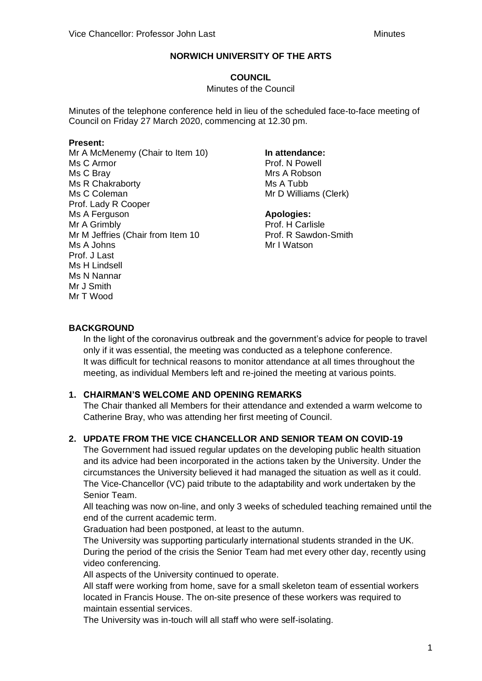# **COUNCIL**

#### Minutes of the Council

Minutes of the telephone conference held in lieu of the scheduled face-to-face meeting of Council on Friday 27 March 2020, commencing at 12.30 pm.

#### **Present:**

Mr A McMenemy (Chair to Item 10) Ms C Armor Ms C Bray Ms R Chakraborty Ms C Coleman Prof. Lady R Cooper Ms A Ferguson Mr A Grimbly Mr M Jeffries (Chair from Item 10 Ms A Johns Prof. J Last Ms H Lindsell Ms N Nannar Mr J Smith Mr T Wood

#### **In attendance:**

Prof. N Powell Mrs A Robson Ms A Tubb Mr D Williams (Clerk)

#### **Apologies:**

Prof. H Carlisle Prof. R Sawdon-Smith Mr I Watson

### **BACKGROUND**

In the light of the coronavirus outbreak and the government's advice for people to travel only if it was essential, the meeting was conducted as a telephone conference. It was difficult for technical reasons to monitor attendance at all times throughout the meeting, as individual Members left and re-joined the meeting at various points.

### **1. CHAIRMAN'S WELCOME AND OPENING REMARKS**

The Chair thanked all Members for their attendance and extended a warm welcome to Catherine Bray, who was attending her first meeting of Council.

### **2. UPDATE FROM THE VICE CHANCELLOR AND SENIOR TEAM ON COVID-19**

The Government had issued regular updates on the developing public health situation and its advice had been incorporated in the actions taken by the University. Under the circumstances the University believed it had managed the situation as well as it could. The Vice-Chancellor (VC) paid tribute to the adaptability and work undertaken by the Senior Team.

All teaching was now on-line, and only 3 weeks of scheduled teaching remained until the end of the current academic term.

Graduation had been postponed, at least to the autumn.

The University was supporting particularly international students stranded in the UK. During the period of the crisis the Senior Team had met every other day, recently using video conferencing.

All aspects of the University continued to operate.

All staff were working from home, save for a small skeleton team of essential workers located in Francis House. The on-site presence of these workers was required to maintain essential services.

The University was in-touch will all staff who were self-isolating.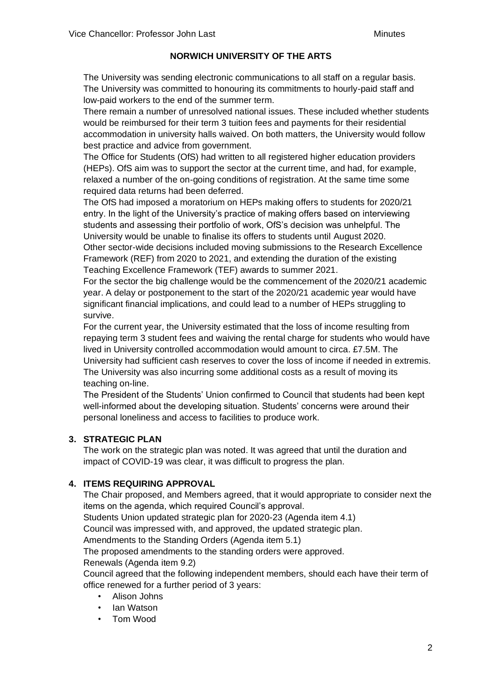The University was sending electronic communications to all staff on a regular basis. The University was committed to honouring its commitments to hourly-paid staff and low-paid workers to the end of the summer term.

There remain a number of unresolved national issues. These included whether students would be reimbursed for their term 3 tuition fees and payments for their residential accommodation in university halls waived. On both matters, the University would follow best practice and advice from government.

The Office for Students (OfS) had written to all registered higher education providers (HEPs). OfS aim was to support the sector at the current time, and had, for example, relaxed a number of the on-going conditions of registration. At the same time some required data returns had been deferred.

The OfS had imposed a moratorium on HEPs making offers to students for 2020/21 entry. In the light of the University's practice of making offers based on interviewing students and assessing their portfolio of work, OfS's decision was unhelpful. The University would be unable to finalise its offers to students until August 2020. Other sector-wide decisions included moving submissions to the Research Excellence Framework (REF) from 2020 to 2021, and extending the duration of the existing Teaching Excellence Framework (TEF) awards to summer 2021.

For the sector the big challenge would be the commencement of the 2020/21 academic year. A delay or postponement to the start of the 2020/21 academic year would have significant financial implications, and could lead to a number of HEPs struggling to survive.

For the current year, the University estimated that the loss of income resulting from repaying term 3 student fees and waiving the rental charge for students who would have lived in University controlled accommodation would amount to circa. £7.5M. The University had sufficient cash reserves to cover the loss of income if needed in extremis. The University was also incurring some additional costs as a result of moving its teaching on-line.

The President of the Students' Union confirmed to Council that students had been kept well-informed about the developing situation. Students' concerns were around their personal loneliness and access to facilities to produce work.

### **3. STRATEGIC PLAN**

The work on the strategic plan was noted. It was agreed that until the duration and impact of COVID-19 was clear, it was difficult to progress the plan.

# **4. ITEMS REQUIRING APPROVAL**

The Chair proposed, and Members agreed, that it would appropriate to consider next the items on the agenda, which required Council's approval.

Students Union updated strategic plan for 2020-23 (Agenda item 4.1)

Council was impressed with, and approved, the updated strategic plan.

Amendments to the Standing Orders (Agenda item 5.1)

The proposed amendments to the standing orders were approved.

Renewals (Agenda item 9.2)

Council agreed that the following independent members, should each have their term of office renewed for a further period of 3 years:

- Alison Johns
- Ian Watson
- Tom Wood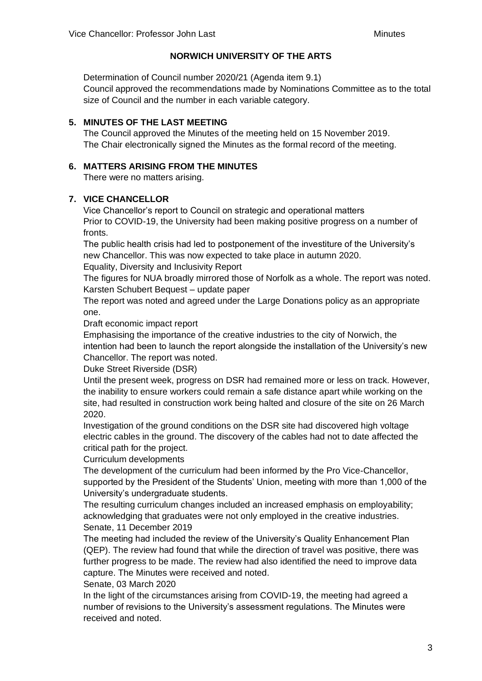Determination of Council number 2020/21 (Agenda item 9.1) Council approved the recommendations made by Nominations Committee as to the total size of Council and the number in each variable category.

# **5. MINUTES OF THE LAST MEETING**

The Council approved the Minutes of the meeting held on 15 November 2019. The Chair electronically signed the Minutes as the formal record of the meeting.

# **6. MATTERS ARISING FROM THE MINUTES**

There were no matters arising.

# **7. VICE CHANCELLOR**

Vice Chancellor's report to Council on strategic and operational matters Prior to COVID-19, the University had been making positive progress on a number of fronts.

The public health crisis had led to postponement of the investiture of the University's new Chancellor. This was now expected to take place in autumn 2020. Equality, Diversity and Inclusivity Report

The figures for NUA broadly mirrored those of Norfolk as a whole. The report was noted. Karsten Schubert Bequest – update paper

The report was noted and agreed under the Large Donations policy as an appropriate one.

Draft economic impact report

Emphasising the importance of the creative industries to the city of Norwich, the intention had been to launch the report alongside the installation of the University's new Chancellor. The report was noted.

Duke Street Riverside (DSR)

Until the present week, progress on DSR had remained more or less on track. However, the inability to ensure workers could remain a safe distance apart while working on the site, had resulted in construction work being halted and closure of the site on 26 March 2020.

Investigation of the ground conditions on the DSR site had discovered high voltage electric cables in the ground. The discovery of the cables had not to date affected the critical path for the project.

Curriculum developments

The development of the curriculum had been informed by the Pro Vice-Chancellor, supported by the President of the Students' Union, meeting with more than 1,000 of the University's undergraduate students.

The resulting curriculum changes included an increased emphasis on employability; acknowledging that graduates were not only employed in the creative industries. Senate, 11 December 2019

The meeting had included the review of the University's Quality Enhancement Plan (QEP). The review had found that while the direction of travel was positive, there was further progress to be made. The review had also identified the need to improve data capture. The Minutes were received and noted.

Senate, 03 March 2020

In the light of the circumstances arising from COVID-19, the meeting had agreed a number of revisions to the University's assessment regulations. The Minutes were received and noted.